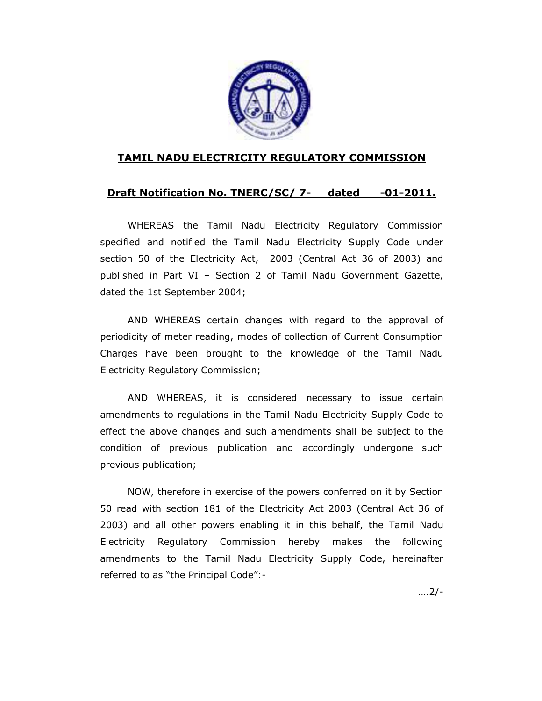

### TAMIL NADU ELECTRICITY REGULATORY COMMISSION

### Draft Notification No. TNERC/SC/ 7- dated -01-2011.

WHEREAS the Tamil Nadu Electricity Regulatory Commission specified and notified the Tamil Nadu Electricity Supply Code under section 50 of the Electricity Act, 2003 (Central Act 36 of 2003) and published in Part VI – Section 2 of Tamil Nadu Government Gazette, dated the 1st September 2004;

 AND WHEREAS certain changes with regard to the approval of periodicity of meter reading, modes of collection of Current Consumption Charges have been brought to the knowledge of the Tamil Nadu Electricity Regulatory Commission;

 AND WHEREAS, it is considered necessary to issue certain amendments to regulations in the Tamil Nadu Electricity Supply Code to effect the above changes and such amendments shall be subject to the condition of previous publication and accordingly undergone such previous publication;

NOW, therefore in exercise of the powers conferred on it by Section 50 read with section 181 of the Electricity Act 2003 (Central Act 36 of 2003) and all other powers enabling it in this behalf, the Tamil Nadu Electricity Regulatory Commission hereby makes the following amendments to the Tamil Nadu Electricity Supply Code, hereinafter referred to as "the Principal Code":-

….2/-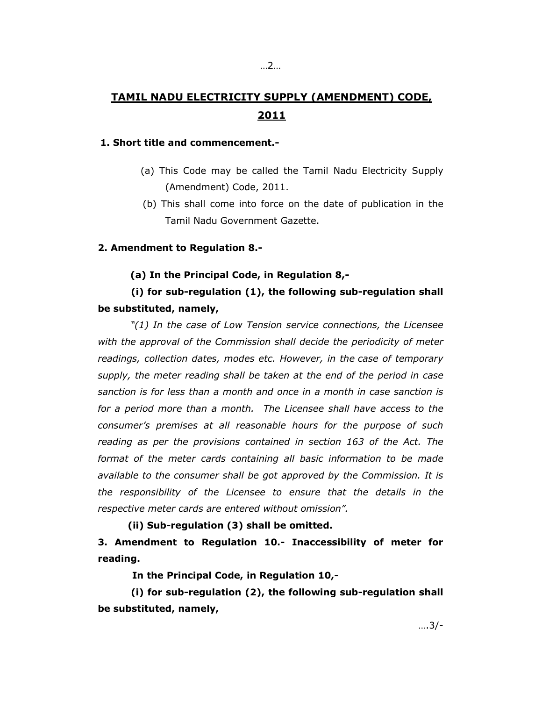# TAMIL NADU ELECTRICITY SUPPLY (AMENDMENT) CODE, 2011

#### 1. Short title and commencement.-

- (a) This Code may be called the Tamil Nadu Electricity Supply (Amendment) Code, 2011.
- (b) This shall come into force on the date of publication in the Tamil Nadu Government Gazette.

#### 2. Amendment to Regulation 8.-

#### (a) In the Principal Code, in Regulation 8,-

## (i) for sub-regulation (1), the following sub-regulation shall be substituted, namely,

"(1) In the case of Low Tension service connections, the Licensee with the approval of the Commission shall decide the periodicity of meter readings, collection dates, modes etc. However, in the case of temporary supply, the meter reading shall be taken at the end of the period in case sanction is for less than a month and once in a month in case sanction is for a period more than a month. The Licensee shall have access to the consumer's premises at all reasonable hours for the purpose of such reading as per the provisions contained in section 163 of the Act. The format of the meter cards containing all basic information to be made available to the consumer shall be got approved by the Commission. It is the responsibility of the Licensee to ensure that the details in the respective meter cards are entered without omission".

#### (ii) Sub-regulation (3) shall be omitted.

3. Amendment to Regulation 10.- Inaccessibility of meter for reading.

In the Principal Code, in Regulation 10,-

 (i) for sub-regulation (2), the following sub-regulation shall be substituted, namely,

….3/-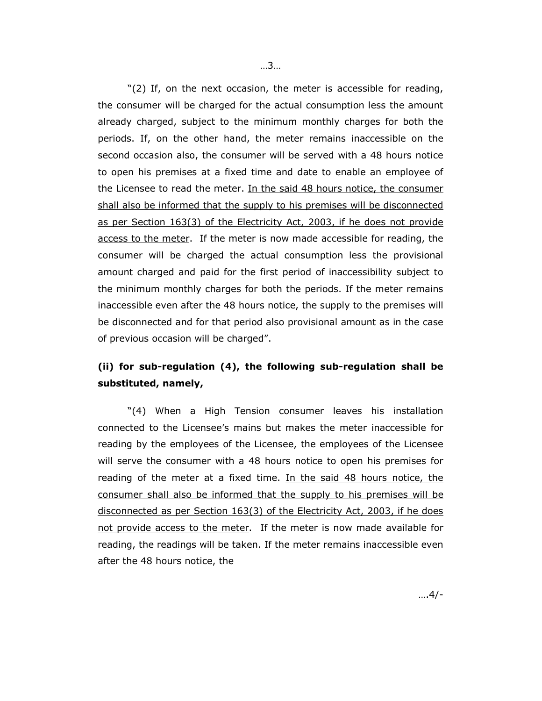"(2) If, on the next occasion, the meter is accessible for reading, the consumer will be charged for the actual consumption less the amount already charged, subject to the minimum monthly charges for both the periods. If, on the other hand, the meter remains inaccessible on the second occasion also, the consumer will be served with a 48 hours notice to open his premises at a fixed time and date to enable an employee of the Licensee to read the meter. In the said 48 hours notice, the consumer shall also be informed that the supply to his premises will be disconnected as per Section 163(3) of the Electricity Act, 2003, if he does not provide access to the meter. If the meter is now made accessible for reading, the consumer will be charged the actual consumption less the provisional amount charged and paid for the first period of inaccessibility subject to the minimum monthly charges for both the periods. If the meter remains inaccessible even after the 48 hours notice, the supply to the premises will be disconnected and for that period also provisional amount as in the case of previous occasion will be charged".

## (ii) for sub-regulation (4), the following sub-regulation shall be substituted, namely,

"(4) When a High Tension consumer leaves his installation connected to the Licensee's mains but makes the meter inaccessible for reading by the employees of the Licensee, the employees of the Licensee will serve the consumer with a 48 hours notice to open his premises for reading of the meter at a fixed time. In the said 48 hours notice, the consumer shall also be informed that the supply to his premises will be disconnected as per Section 163(3) of the Electricity Act, 2003, if he does not provide access to the meter. If the meter is now made available for reading, the readings will be taken. If the meter remains inaccessible even after the 48 hours notice, the

….4/-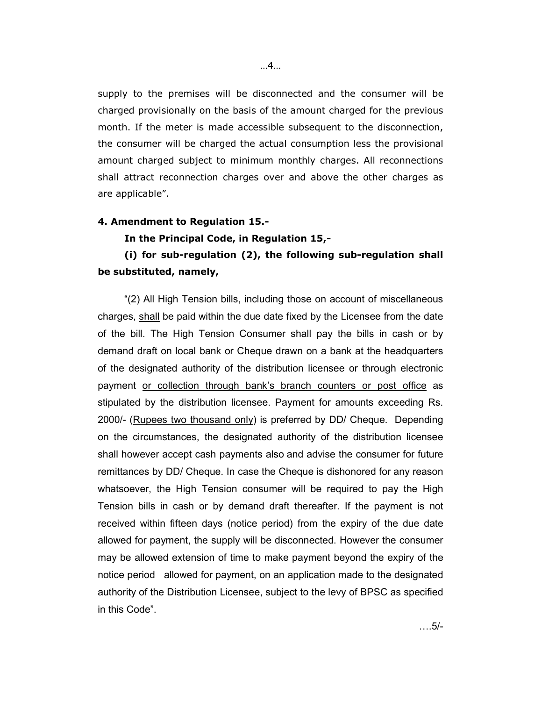supply to the premises will be disconnected and the consumer will be charged provisionally on the basis of the amount charged for the previous month. If the meter is made accessible subsequent to the disconnection, the consumer will be charged the actual consumption less the provisional amount charged subject to minimum monthly charges. All reconnections shall attract reconnection charges over and above the other charges as are applicable".

#### 4. Amendment to Regulation 15.-

In the Principal Code, in Regulation 15,-

## (i) for sub-regulation (2), the following sub-regulation shall be substituted, namely,

"(2) All High Tension bills, including those on account of miscellaneous charges, shall be paid within the due date fixed by the Licensee from the date of the bill. The High Tension Consumer shall pay the bills in cash or by demand draft on local bank or Cheque drawn on a bank at the headquarters of the designated authority of the distribution licensee or through electronic payment or collection through bank's branch counters or post office as stipulated by the distribution licensee. Payment for amounts exceeding Rs. 2000/- (Rupees two thousand only) is preferred by DD/ Cheque. Depending on the circumstances, the designated authority of the distribution licensee shall however accept cash payments also and advise the consumer for future remittances by DD/ Cheque. In case the Cheque is dishonored for any reason whatsoever, the High Tension consumer will be required to pay the High Tension bills in cash or by demand draft thereafter. If the payment is not received within fifteen days (notice period) from the expiry of the due date allowed for payment, the supply will be disconnected. However the consumer may be allowed extension of time to make payment beyond the expiry of the notice period allowed for payment, on an application made to the designated authority of the Distribution Licensee, subject to the levy of BPSC as specified in this Code".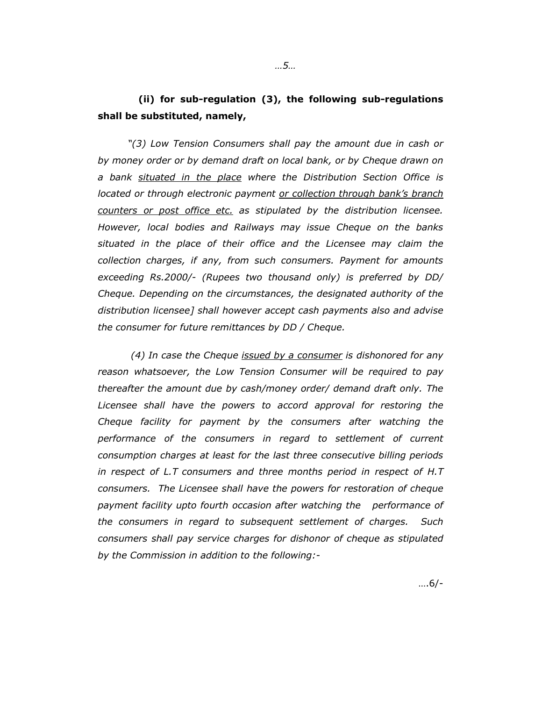## (ii) for sub-regulation (3), the following sub-regulations shall be substituted, namely,

"(3) Low Tension Consumers shall pay the amount due in cash or by money order or by demand draft on local bank, or by Cheque drawn on a bank situated in the place where the Distribution Section Office is located or through electronic payment or collection through bank's branch counters or post office etc. as stipulated by the distribution licensee. However, local bodies and Railways may issue Cheque on the banks situated in the place of their office and the Licensee may claim the collection charges, if any, from such consumers. Payment for amounts exceeding Rs.2000/- (Rupees two thousand only) is preferred by DD/ Cheque. Depending on the circumstances, the designated authority of the distribution licensee] shall however accept cash payments also and advise the consumer for future remittances by DD / Cheque.

(4) In case the Cheque issued by a consumer is dishonored for any reason whatsoever, the Low Tension Consumer will be required to pay thereafter the amount due by cash/money order/ demand draft only. The Licensee shall have the powers to accord approval for restoring the Cheque facility for payment by the consumers after watching the performance of the consumers in regard to settlement of current consumption charges at least for the last three consecutive billing periods in respect of L.T consumers and three months period in respect of H.T consumers. The Licensee shall have the powers for restoration of cheque payment facility upto fourth occasion after watching the performance of the consumers in regard to subsequent settlement of charges. Such consumers shall pay service charges for dishonor of cheque as stipulated by the Commission in addition to the following:-

….6/-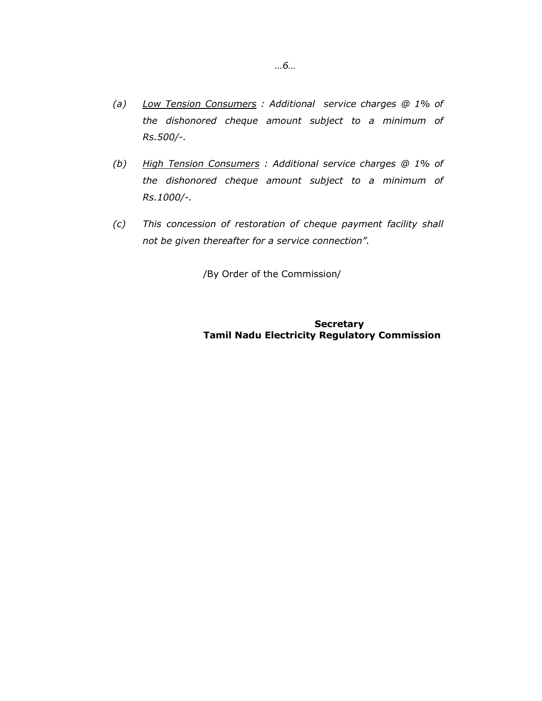- (a) Low Tension Consumers : Additional service charges  $@1\%$  of the dishonored cheque amount subject to a minimum of Rs.500/-.
- (b) High Tension Consumers: Additional service charges @ 1% of the dishonored cheque amount subject to a minimum of Rs.1000/-.
- (c) This concession of restoration of cheque payment facility shall not be given thereafter for a service connection".

/By Order of the Commission/

#### **Secretary** Tamil Nadu Electricity Regulatory Commission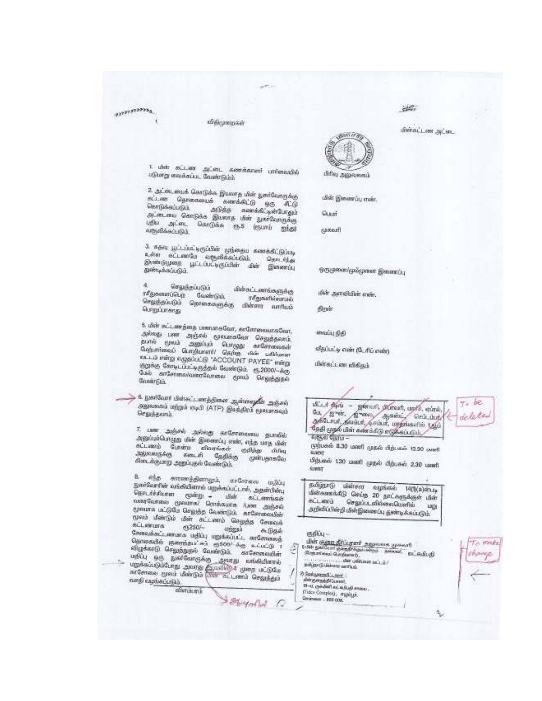### *ANTITTERES*

#### விதிமுறைகள்

1. மின் கட்டண அட்டை கணக்காளர் பார்வையில்<br>படுமாறு வைக்கப்பட வேண்டும்ம்

2. அட்டையைக் கொடுக்க இயலாத மின் நகர்வோருக்கு siam Ograpsmus sandsio 95 AG Certikauutik. அடுத்த கணக்கிட்டின்போதும் stimine Geography Survey der geoffengeleg ugau sales. Quer@dus es-5 (esunti grigal வருவிக்கப்படும்.

3. கதவு பூட்டப்பிடிருப்பின் முந்தைய கணக்கிட்டுப்படி உள்ள கட்டணவே வருவிக்கப்படும். Ques Play gestrouwe gildelygicke der Geseria துண்டிக்கப்படும்.

செலுந்தப்படும் மின்சுட்டணங்களுக்கு ரசீதுகளைப்பெற வேண்டும். செலுத்தப்படும் தொகைகளுக்கு 06 mesathioromado distroy sunfluid மொழ்ப்பாளது

5. ukir eri avğana usmanedam, enformumadam, gelegs nes region generator Gezagema. தமன் மூலம் அனுப்பும் பொழுது காரோவைகள்<br>மேற்பார்கைப் பொறியாளர்/ தெருந் மின் பகிங்கள m.L.a ming magabul@ "ACCOUNT PAYEE" mings குறக்கு கோடிப்பட்டிருத்தல் வேண்டும். ரூ.2000/~ச்சூ Guib enGenmarkunnflammes good Grandguide **Goussingka** 

> 6. நகர்வோர் மின்கட்டணத்தினை ஆன்ஜையிர் அஞ்சல் agenesi ungi mul (ATP) @undui ejermesit Gegadgeanh

7. цент дабой довер осветности дитові application man the general steer, eng use ther stinent Gurens allowed called they ஆலவகுக்கு கடைசி தேதிக்கு முன்பதாகவே கிடைக்குமாறு அலுப்புதல் வேண்டும்.

8. etg. envergesment, erforem ugile நகர்வேரின் லங்கியினால் பறுக்கப்பட்டால், அதன்பின்பு Ogalidduren quégu - cher allamissio conficeme general Germanes Am 20504 gatura in Gdu Grenso Casimili, arcormador மூலம் மீண்டும் மீன் கட்டணம் செலுந்த சேவைக் கட்டனமாக ரூ250/uggal Geneskeri amına udüz ugstadırır enformuğ Ognmadó gantigu'ni ci500'de siui@ 1 லிழக்காடு செலுந்துதல் வேண்டும். காணேவையின் பதிப்பு ஒரு துகர்வோருக்கு அவரது வங்கியினால் i undernehmen zunge Grunden und aufgrunden. வசதி வழங்கப்படும்.

 $9999000000$ 

sownami

端

வின்கப்படை அட்டை



didi Generaliy main.

Quant

**Name of** 

ஒருமுளை/மும்முளை இணைப்பு

this agreabable assis.

Slock

கைப்பு நிதி

வீதப்பட்டி எண் (பேரிப் எண்)

மின்கட்டண வீகிதம்



guligan@ ukërava esprivasi 14(%a)smap யிள்வாக்கீடு செய்த 20 தாட்களுக்குள் யிள் **ALLAND Grgsht** of klener Queeflah அறிவீப்பின்றி மின்இணைப்பு துண்டிக்கப்படும். LADE

eselly-

யின் <u>என்ற தீர்ப்ரளர் அலுவகை மு</u>கையி<br>0.0ன் நாயியர் குறைசெலுவன்றம் – தனைப் – உட்டியிபதி<br>இஞ்சாவைப் செற்கால்), TA WREE ... dar udmann sa's dr? Solution Guidean perfusi. 2 Saturnations: dergeradditum).<br>19-0. (Sederl exterday) enes . (Fideo Complet), mysligi, Generator - 800 008. q,